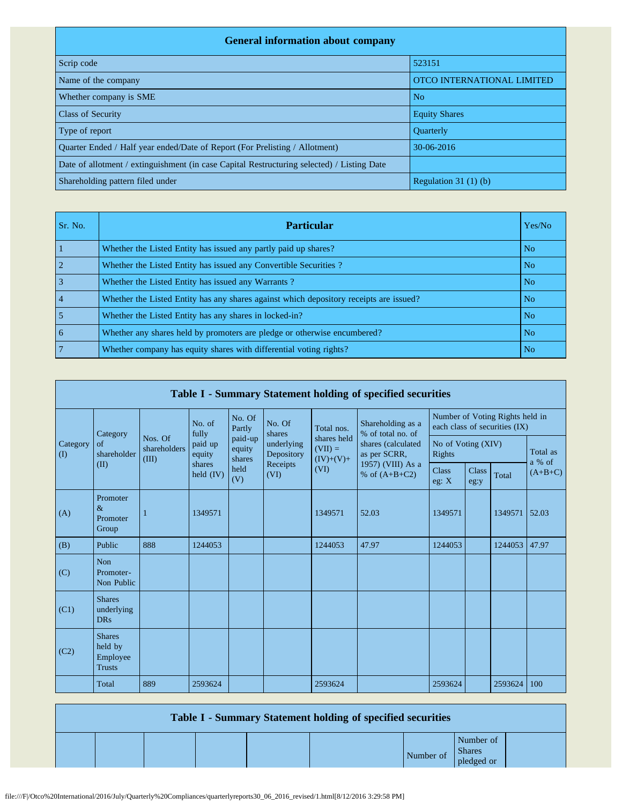| <b>General information about company</b>                                                   |                            |  |  |  |  |  |  |  |  |
|--------------------------------------------------------------------------------------------|----------------------------|--|--|--|--|--|--|--|--|
| Scrip code                                                                                 | 523151                     |  |  |  |  |  |  |  |  |
| Name of the company                                                                        | OTCO INTERNATIONAL LIMITED |  |  |  |  |  |  |  |  |
| Whether company is SME                                                                     | N <sub>o</sub>             |  |  |  |  |  |  |  |  |
| <b>Class of Security</b>                                                                   | <b>Equity Shares</b>       |  |  |  |  |  |  |  |  |
| Type of report                                                                             | <b>Ouarterly</b>           |  |  |  |  |  |  |  |  |
| Quarter Ended / Half year ended/Date of Report (For Prelisting / Allotment)                | $30-06-2016$               |  |  |  |  |  |  |  |  |
| Date of allotment / extinguishment (in case Capital Restructuring selected) / Listing Date |                            |  |  |  |  |  |  |  |  |
| Shareholding pattern filed under                                                           | Regulation $31(1)(b)$      |  |  |  |  |  |  |  |  |

| Sr. No. | <b>Particular</b>                                                                      | Yes/No         |
|---------|----------------------------------------------------------------------------------------|----------------|
|         | Whether the Listed Entity has issued any partly paid up shares?                        | N <sub>o</sub> |
|         | Whether the Listed Entity has issued any Convertible Securities?                       | N <sub>o</sub> |
|         | Whether the Listed Entity has issued any Warrants?                                     | N <sub>o</sub> |
|         | Whether the Listed Entity has any shares against which depository receipts are issued? | N <sub>o</sub> |
|         | Whether the Listed Entity has any shares in locked-in?                                 | N <sub>o</sub> |
| 6       | Whether any shares held by promoters are pledge or otherwise encumbered?               | N <sub>o</sub> |
|         | Whether company has equity shares with differential voting rights?                     | No.            |

|                 | Table I - Summary Statement holding of specified securities |                                  |                       |                             |                          |                                         |                                                                            |                              |                                                                  |         |                    |  |  |
|-----------------|-------------------------------------------------------------|----------------------------------|-----------------------|-----------------------------|--------------------------|-----------------------------------------|----------------------------------------------------------------------------|------------------------------|------------------------------------------------------------------|---------|--------------------|--|--|
|                 | Category                                                    |                                  | No. of<br>fully       | No. Of<br>Partly            | No. Of<br>shares         | Total nos.                              | Shareholding as a<br>% of total no. of                                     |                              | Number of Voting Rights held in<br>each class of securities (IX) |         |                    |  |  |
| Category<br>(I) | of<br>shareholder<br>(II)                                   | Nos. Of<br>shareholders<br>(III) | paid up<br>equity     | paid-up<br>equity<br>shares | underlying<br>Depository | shares held<br>$(VII) =$<br>$(IV)+(V)+$ | shares (calculated<br>as per SCRR,<br>1957) (VIII) As a<br>% of $(A+B+C2)$ | No of Voting (XIV)<br>Rights |                                                                  |         | Total as<br>a % of |  |  |
|                 |                                                             |                                  | shares<br>held $(IV)$ | held<br>(V)                 | Receipts<br>(VI)         | (VI)                                    |                                                                            | <b>Class</b><br>eg: $X$      | <b>Class</b><br>eg:y                                             | Total   | $(A+B+C)$          |  |  |
| (A)             | Promoter<br>$\&$<br>Promoter<br>Group                       | 1                                | 1349571               |                             |                          | 1349571                                 | 52.03                                                                      | 1349571                      |                                                                  | 1349571 | 52.03              |  |  |
| (B)             | Public                                                      | 888                              | 1244053               |                             |                          | 1244053                                 | 47.97                                                                      | 1244053                      |                                                                  | 1244053 | 47.97              |  |  |
| (C)             | <b>Non</b><br>Promoter-<br>Non Public                       |                                  |                       |                             |                          |                                         |                                                                            |                              |                                                                  |         |                    |  |  |
| (C1)            | <b>Shares</b><br>underlying<br><b>DRs</b>                   |                                  |                       |                             |                          |                                         |                                                                            |                              |                                                                  |         |                    |  |  |
| (C2)            | <b>Shares</b><br>held by<br>Employee<br><b>Trusts</b>       |                                  |                       |                             |                          |                                         |                                                                            |                              |                                                                  |         |                    |  |  |
|                 | Total                                                       | 889                              | 2593624               |                             |                          | 2593624                                 |                                                                            | 2593624                      |                                                                  | 2593624 | 100                |  |  |

| <b>Table I - Summary Statement holding of specified securities</b> |  |  |  |  |           |                                          |  |  |  |
|--------------------------------------------------------------------|--|--|--|--|-----------|------------------------------------------|--|--|--|
|                                                                    |  |  |  |  | Number of | Number of<br><b>Shares</b><br>pledged or |  |  |  |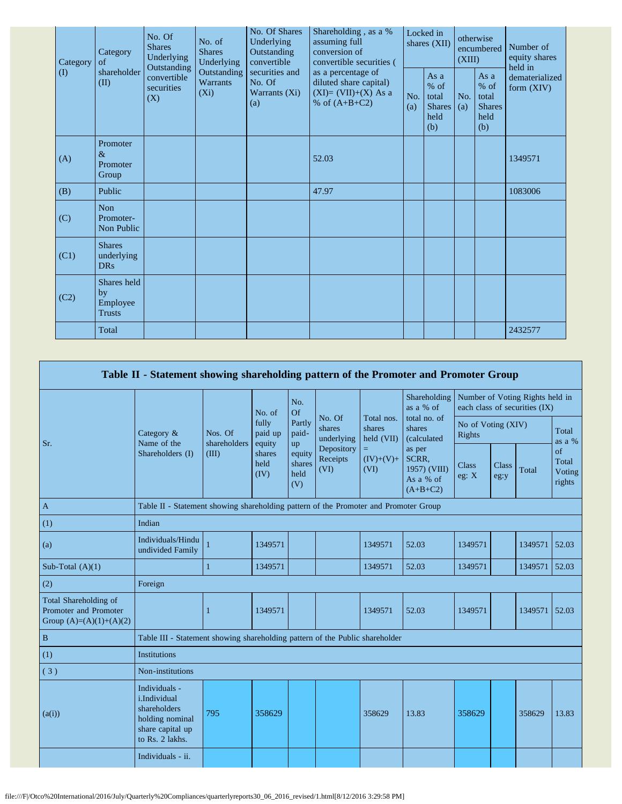| Category | Category<br>of                                 | No. Of<br><b>Shares</b><br>Underlying<br>Outstanding | No. of<br><b>Shares</b><br>Underlying     | No. Of Shares<br>Underlying<br>Outstanding<br>convertible | Shareholding, as a %<br>assuming full<br>conversion of<br>convertible securities (       | Locked in<br>shares (XII) |                                                         | otherwise<br>encumbered<br>(XIII) |                                                       | Number of<br>equity shares<br>held in |  |
|----------|------------------------------------------------|------------------------------------------------------|-------------------------------------------|-----------------------------------------------------------|------------------------------------------------------------------------------------------|---------------------------|---------------------------------------------------------|-----------------------------------|-------------------------------------------------------|---------------------------------------|--|
| $\rm(D)$ | shareholder<br>(II)                            | convertible<br>securities<br>(X)                     | Outstanding<br><b>Warrants</b><br>$(X_i)$ | securities and<br>No. Of<br>Warrants (Xi)<br>(a)          | as a percentage of<br>diluted share capital)<br>$(XI)=(VII)+(X) As a$<br>% of $(A+B+C2)$ | No.<br>(a)                | As a<br>$%$ of<br>total<br><b>Shares</b><br>held<br>(b) | No.<br>(a)                        | As a<br>% of<br>total<br><b>Shares</b><br>held<br>(b) | dematerialized<br>form $(XIV)$        |  |
| (A)      | Promoter<br>$\&$<br>Promoter<br>Group          |                                                      |                                           |                                                           | 52.03                                                                                    |                           |                                                         |                                   |                                                       | 1349571                               |  |
| (B)      | Public                                         |                                                      |                                           |                                                           | 47.97                                                                                    |                           |                                                         |                                   |                                                       | 1083006                               |  |
| (C)      | Non<br>Promoter-<br>Non Public                 |                                                      |                                           |                                                           |                                                                                          |                           |                                                         |                                   |                                                       |                                       |  |
| (C1)     | <b>Shares</b><br>underlying<br><b>DRs</b>      |                                                      |                                           |                                                           |                                                                                          |                           |                                                         |                                   |                                                       |                                       |  |
| (C2)     | Shares held<br>by<br>Employee<br><b>Trusts</b> |                                                      |                                           |                                                           |                                                                                          |                           |                                                         |                                   |                                                       |                                       |  |
|          | Total                                          |                                                      |                                           |                                                           |                                                                                          |                           |                                                         |                                   |                                                       | 2432577                               |  |

|                                                                                    | Table II - Statement showing shareholding pattern of the Promoter and Promoter Group                    |                                                                                      |                            |                                 |                                |                                                                  |                                                                                                     |                              |               |                                                                  |                                 |
|------------------------------------------------------------------------------------|---------------------------------------------------------------------------------------------------------|--------------------------------------------------------------------------------------|----------------------------|---------------------------------|--------------------------------|------------------------------------------------------------------|-----------------------------------------------------------------------------------------------------|------------------------------|---------------|------------------------------------------------------------------|---------------------------------|
|                                                                                    |                                                                                                         |                                                                                      | No. of                     | No.<br>Of                       |                                |                                                                  | Shareholding<br>as a % of                                                                           |                              |               | Number of Voting Rights held in<br>each class of securities (IX) |                                 |
| Sr.                                                                                | Category &<br>Name of the                                                                               | Nos. Of<br>shareholders                                                              | fully<br>paid up<br>equity | Partly<br>paid-<br>up           | No. Of<br>shares<br>underlying | Total nos.<br>shares<br>held (VII)<br>$=$<br>$(IV)+(V)+$<br>(VI) | total no. of<br>shares<br>(calculated<br>as per<br>SCRR,<br>1957) (VIII)<br>As a % of<br>$(A+B+C2)$ | No of Voting (XIV)<br>Rights |               |                                                                  | Total<br>as a %                 |
|                                                                                    | Shareholders (I)                                                                                        | (III)                                                                                | shares<br>held<br>(IV)     | equity<br>shares<br>held<br>(V) | Depository<br>Receipts<br>(VI) |                                                                  |                                                                                                     | Class<br>eg: $X$             | Class<br>eg:y | Total                                                            | of<br>Total<br>Voting<br>rights |
| $\mathbf{A}$                                                                       |                                                                                                         | Table II - Statement showing shareholding pattern of the Promoter and Promoter Group |                            |                                 |                                |                                                                  |                                                                                                     |                              |               |                                                                  |                                 |
| (1)                                                                                | Indian                                                                                                  |                                                                                      |                            |                                 |                                |                                                                  |                                                                                                     |                              |               |                                                                  |                                 |
| (a)                                                                                | Individuals/Hindu<br>undivided Family                                                                   |                                                                                      | 1349571                    |                                 |                                | 1349571                                                          | 52.03                                                                                               | 1349571                      |               | 1349571                                                          | 52.03                           |
| Sub-Total $(A)(1)$                                                                 |                                                                                                         | $\mathbf{1}$                                                                         | 1349571                    |                                 |                                | 1349571                                                          | 52.03                                                                                               | 1349571                      |               | 1349571                                                          | 52.03                           |
| (2)                                                                                | Foreign                                                                                                 |                                                                                      |                            |                                 |                                |                                                                  |                                                                                                     |                              |               |                                                                  |                                 |
| <b>Total Shareholding of</b><br>Promoter and Promoter<br>Group $(A)=(A)(1)+(A)(2)$ |                                                                                                         | 1                                                                                    | 1349571                    |                                 |                                | 1349571                                                          | 52.03                                                                                               | 1349571                      |               | 1349571                                                          | 52.03                           |
| $\, {\bf B}$                                                                       | Table III - Statement showing shareholding pattern of the Public shareholder                            |                                                                                      |                            |                                 |                                |                                                                  |                                                                                                     |                              |               |                                                                  |                                 |
| (1)                                                                                | <b>Institutions</b>                                                                                     |                                                                                      |                            |                                 |                                |                                                                  |                                                                                                     |                              |               |                                                                  |                                 |
| (3)                                                                                | Non-institutions                                                                                        |                                                                                      |                            |                                 |                                |                                                                  |                                                                                                     |                              |               |                                                                  |                                 |
| (a(i))                                                                             | Individuals -<br>i.Individual<br>shareholders<br>holding nominal<br>share capital up<br>to Rs. 2 lakhs. | 795                                                                                  | 358629                     |                                 |                                | 358629                                                           | 13.83                                                                                               | 358629                       |               | 358629                                                           | 13.83                           |
|                                                                                    | Individuals - ii.                                                                                       |                                                                                      |                            |                                 |                                |                                                                  |                                                                                                     |                              |               |                                                                  |                                 |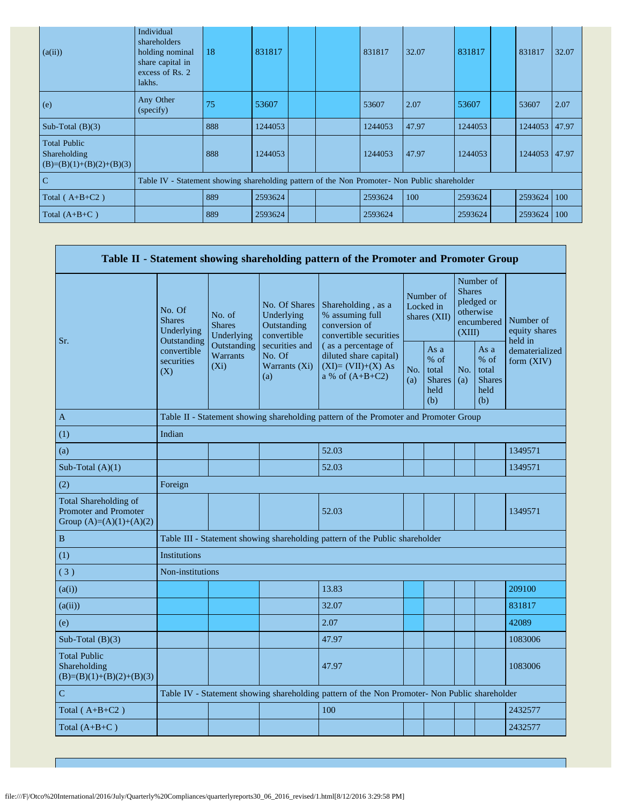| (a(ii))                                                           | Individual<br>shareholders<br>holding nominal<br>share capital in<br>excess of Rs. 2<br>lakhs. | 18  | 831817  |  | 831817  | 32.07 | 831817  | 831817        | 32.07 |
|-------------------------------------------------------------------|------------------------------------------------------------------------------------------------|-----|---------|--|---------|-------|---------|---------------|-------|
| (e)                                                               | Any Other<br>(specify)                                                                         | 75  | 53607   |  | 53607   | 2.07  | 53607   | 53607         | 2.07  |
| Sub-Total $(B)(3)$                                                |                                                                                                | 888 | 1244053 |  | 1244053 | 47.97 | 1244053 | 1244053 47.97 |       |
| <b>Total Public</b><br>Shareholding<br>$(B)=(B)(1)+(B)(2)+(B)(3)$ |                                                                                                | 888 | 1244053 |  | 1244053 | 47.97 | 1244053 | 1244053 47.97 |       |
| $\overline{C}$                                                    | Table IV - Statement showing shareholding pattern of the Non Promoter- Non Public shareholder  |     |         |  |         |       |         |               |       |
| Total $(A+B+C2)$                                                  |                                                                                                | 889 | 2593624 |  | 2593624 | 100   | 2593624 | 2593624       | 100   |
| Total $(A+B+C)$                                                   |                                                                                                | 889 | 2593624 |  | 2593624 |       | 2593624 | 2593624       | 100   |

|                                                                             |                                                      |                                                                                      |                                                           | Table II - Statement showing shareholding pattern of the Promoter and Promoter Group          |                                        |                                                       |                                                                               |                                                       |                                       |  |  |
|-----------------------------------------------------------------------------|------------------------------------------------------|--------------------------------------------------------------------------------------|-----------------------------------------------------------|-----------------------------------------------------------------------------------------------|----------------------------------------|-------------------------------------------------------|-------------------------------------------------------------------------------|-------------------------------------------------------|---------------------------------------|--|--|
| Sr.                                                                         | No. Of<br><b>Shares</b><br>Underlying<br>Outstanding | No. of<br><b>Shares</b><br>Underlying                                                | No. Of Shares<br>Underlying<br>Outstanding<br>convertible | Shareholding, as a<br>% assuming full<br>conversion of<br>convertible securities              | Number of<br>Locked in<br>shares (XII) |                                                       | Number of<br><b>Shares</b><br>pledged or<br>otherwise<br>encumbered<br>(XIII) |                                                       | Number of<br>equity shares<br>held in |  |  |
|                                                                             | convertible<br>securities<br>(X)                     | Outstanding<br>Warrants<br>$(X_i)$                                                   | securities and<br>No. Of<br>Warrants (Xi)<br>(a)          | (as a percentage of<br>diluted share capital)<br>$(XI)=(VII)+(X) As$<br>a % of $(A+B+C2)$     | No.<br>(a)                             | As a<br>% of<br>total<br><b>Shares</b><br>held<br>(b) | No.<br>(a)                                                                    | As a<br>% of<br>total<br><b>Shares</b><br>held<br>(b) | dematerialized<br>form $(XIV)$        |  |  |
| A                                                                           |                                                      | Table II - Statement showing shareholding pattern of the Promoter and Promoter Group |                                                           |                                                                                               |                                        |                                                       |                                                                               |                                                       |                                       |  |  |
| (1)                                                                         | Indian                                               |                                                                                      |                                                           |                                                                                               |                                        |                                                       |                                                                               |                                                       |                                       |  |  |
| (a)                                                                         |                                                      |                                                                                      |                                                           | 52.03                                                                                         |                                        |                                                       |                                                                               |                                                       | 1349571                               |  |  |
| Sub-Total $(A)(1)$                                                          |                                                      |                                                                                      |                                                           | 52.03                                                                                         |                                        |                                                       |                                                                               |                                                       | 1349571                               |  |  |
| (2)                                                                         | Foreign                                              |                                                                                      |                                                           |                                                                                               |                                        |                                                       |                                                                               |                                                       |                                       |  |  |
| Total Shareholding of<br>Promoter and Promoter<br>Group $(A)=(A)(1)+(A)(2)$ |                                                      |                                                                                      |                                                           | 52.03                                                                                         |                                        |                                                       |                                                                               |                                                       | 1349571                               |  |  |
| $\, {\bf B}$                                                                |                                                      |                                                                                      |                                                           | Table III - Statement showing shareholding pattern of the Public shareholder                  |                                        |                                                       |                                                                               |                                                       |                                       |  |  |
| (1)                                                                         | <b>Institutions</b>                                  |                                                                                      |                                                           |                                                                                               |                                        |                                                       |                                                                               |                                                       |                                       |  |  |
| (3)                                                                         | Non-institutions                                     |                                                                                      |                                                           |                                                                                               |                                        |                                                       |                                                                               |                                                       |                                       |  |  |
| (a(i))                                                                      |                                                      |                                                                                      |                                                           | 13.83                                                                                         |                                        |                                                       |                                                                               |                                                       | 209100                                |  |  |
| (a(ii))                                                                     |                                                      |                                                                                      |                                                           | 32.07                                                                                         |                                        |                                                       |                                                                               |                                                       | 831817                                |  |  |
| (e)                                                                         |                                                      |                                                                                      |                                                           | 2.07                                                                                          |                                        |                                                       |                                                                               |                                                       | 42089                                 |  |  |
| Sub-Total $(B)(3)$                                                          |                                                      |                                                                                      |                                                           | 47.97                                                                                         |                                        |                                                       |                                                                               |                                                       | 1083006                               |  |  |
| <b>Total Public</b><br>Shareholding<br>$(B)=(B)(1)+(B)(2)+(B)(3)$           |                                                      |                                                                                      |                                                           | 47.97                                                                                         |                                        |                                                       |                                                                               |                                                       | 1083006                               |  |  |
| $\mathbf C$                                                                 |                                                      |                                                                                      |                                                           | Table IV - Statement showing shareholding pattern of the Non Promoter- Non Public shareholder |                                        |                                                       |                                                                               |                                                       |                                       |  |  |
| Total $(A+B+C2)$                                                            |                                                      |                                                                                      |                                                           | 100                                                                                           |                                        |                                                       |                                                                               |                                                       | 2432577                               |  |  |
| Total $(A+B+C)$                                                             |                                                      |                                                                                      |                                                           |                                                                                               |                                        |                                                       |                                                                               |                                                       | 2432577                               |  |  |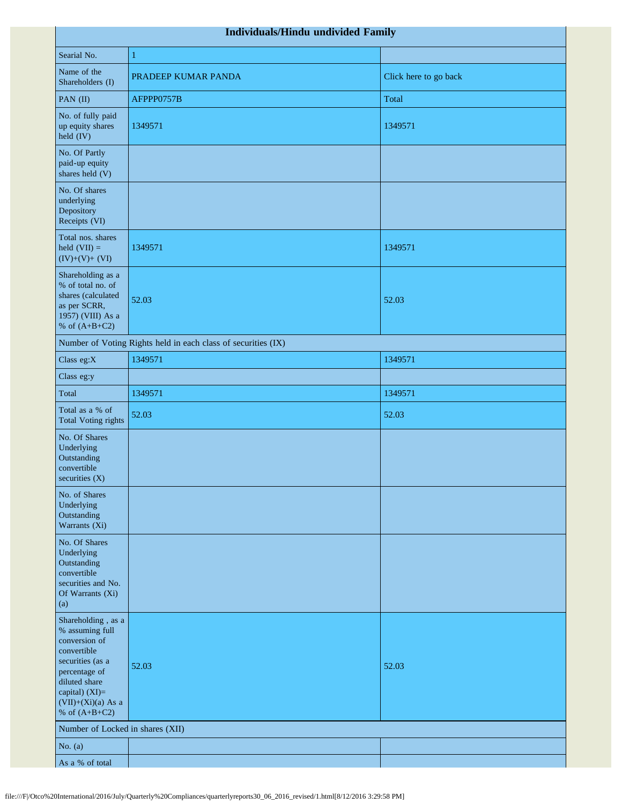| Individuals/Hindu undivided Family                                                                                                                                                       |                                                               |                       |  |  |  |  |  |  |  |
|------------------------------------------------------------------------------------------------------------------------------------------------------------------------------------------|---------------------------------------------------------------|-----------------------|--|--|--|--|--|--|--|
| Searial No.                                                                                                                                                                              | $\mathbf{1}$                                                  |                       |  |  |  |  |  |  |  |
| Name of the<br>Shareholders (I)                                                                                                                                                          | PRADEEP KUMAR PANDA                                           | Click here to go back |  |  |  |  |  |  |  |
| PAN (II)                                                                                                                                                                                 | AFPPP0757B                                                    | Total                 |  |  |  |  |  |  |  |
| No. of fully paid<br>up equity shares<br>held (IV)                                                                                                                                       | 1349571                                                       | 1349571               |  |  |  |  |  |  |  |
| No. Of Partly<br>paid-up equity<br>shares held (V)                                                                                                                                       |                                                               |                       |  |  |  |  |  |  |  |
| No. Of shares<br>underlying<br>Depository<br>Receipts (VI)                                                                                                                               |                                                               |                       |  |  |  |  |  |  |  |
| Total nos. shares<br>held $(VII) =$<br>$(IV)+(V)+(VI)$                                                                                                                                   | 1349571                                                       | 1349571               |  |  |  |  |  |  |  |
| Shareholding as a<br>% of total no. of<br>shares (calculated<br>as per SCRR,<br>1957) (VIII) As a<br>% of $(A+B+C2)$                                                                     | 52.03                                                         | 52.03                 |  |  |  |  |  |  |  |
|                                                                                                                                                                                          | Number of Voting Rights held in each class of securities (IX) |                       |  |  |  |  |  |  |  |
| Class eg:X                                                                                                                                                                               | 1349571                                                       | 1349571               |  |  |  |  |  |  |  |
| Class eg:y                                                                                                                                                                               |                                                               |                       |  |  |  |  |  |  |  |
| Total                                                                                                                                                                                    | 1349571                                                       | 1349571               |  |  |  |  |  |  |  |
| Total as a % of<br><b>Total Voting rights</b>                                                                                                                                            | 52.03                                                         | 52.03                 |  |  |  |  |  |  |  |
| No. Of Shares<br>Underlying<br>Outstanding<br>convertible<br>securities $(X)$                                                                                                            |                                                               |                       |  |  |  |  |  |  |  |
| No. of Shares<br>Underlying<br>Outstanding<br>Warrants (Xi)                                                                                                                              |                                                               |                       |  |  |  |  |  |  |  |
| No. Of Shares<br>Underlying<br>Outstanding<br>convertible<br>securities and No.<br>Of Warrants (Xi)<br>(a)                                                                               |                                                               |                       |  |  |  |  |  |  |  |
| Shareholding, as a<br>% assuming full<br>conversion of<br>convertible<br>securities (as a<br>percentage of<br>diluted share<br>capital) (XI)=<br>$(VII)+(Xi)(a)$ As a<br>% of $(A+B+C2)$ | 52.03                                                         | 52.03                 |  |  |  |  |  |  |  |
| Number of Locked in shares (XII)                                                                                                                                                         |                                                               |                       |  |  |  |  |  |  |  |
| No. $(a)$                                                                                                                                                                                |                                                               |                       |  |  |  |  |  |  |  |
| As a % of total                                                                                                                                                                          |                                                               |                       |  |  |  |  |  |  |  |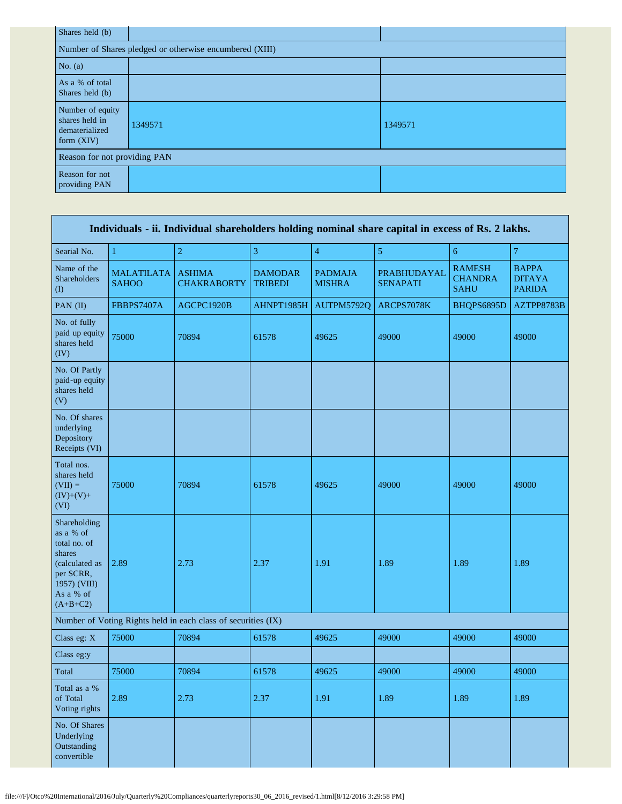| Shares held (b)                                                      |                                                         |         |  |  |  |  |  |  |  |  |
|----------------------------------------------------------------------|---------------------------------------------------------|---------|--|--|--|--|--|--|--|--|
|                                                                      | Number of Shares pledged or otherwise encumbered (XIII) |         |  |  |  |  |  |  |  |  |
| No. $(a)$                                                            |                                                         |         |  |  |  |  |  |  |  |  |
| As a % of total<br>Shares held (b)                                   |                                                         |         |  |  |  |  |  |  |  |  |
| Number of equity<br>shares held in<br>dematerialized<br>form $(XIV)$ | 1349571                                                 | 1349571 |  |  |  |  |  |  |  |  |
| Reason for not providing PAN                                         |                                                         |         |  |  |  |  |  |  |  |  |
| Reason for not<br>providing PAN                                      |                                                         |         |  |  |  |  |  |  |  |  |

| Individuals - ii. Individual shareholders holding nominal share capital in excess of Rs. 2 lakhs.                             |                                   |                                                               |                                  |                                 |                                |                                                |                                                |  |  |  |  |
|-------------------------------------------------------------------------------------------------------------------------------|-----------------------------------|---------------------------------------------------------------|----------------------------------|---------------------------------|--------------------------------|------------------------------------------------|------------------------------------------------|--|--|--|--|
| Searial No.                                                                                                                   | $\mathbf{1}$                      | $\overline{2}$                                                | 3                                | $\overline{4}$                  | $\overline{5}$                 | $\sqrt{6}$                                     | $\boldsymbol{7}$                               |  |  |  |  |
| Name of the<br>Shareholders<br>$\left( \mathrm{I}\right)$                                                                     | <b>MALATILATA</b><br><b>SAHOO</b> | <b>ASHIMA</b><br><b>CHAKRABORTY</b>                           | <b>DAMODAR</b><br><b>TRIBEDI</b> | <b>PADMAJA</b><br><b>MISHRA</b> | PRABHUDAYAL<br><b>SENAPATI</b> | <b>RAMESH</b><br><b>CHANDRA</b><br><b>SAHU</b> | <b>BAPPA</b><br><b>DITAYA</b><br><b>PARIDA</b> |  |  |  |  |
| PAN (II)                                                                                                                      | <b>FBBPS7407A</b>                 | AGCPC1920B                                                    | AHNPT1985H                       | AUTPM5792Q                      | ARCPS7078K                     | BHQPS6895D                                     | AZTPP8783B                                     |  |  |  |  |
| No. of fully<br>paid up equity<br>shares held<br>(IV)                                                                         | 75000                             | 70894                                                         | 61578                            | 49625                           | 49000                          | 49000                                          | 49000                                          |  |  |  |  |
| No. Of Partly<br>paid-up equity<br>shares held<br>(V)                                                                         |                                   |                                                               |                                  |                                 |                                |                                                |                                                |  |  |  |  |
| No. Of shares<br>underlying<br>Depository<br>Receipts (VI)                                                                    |                                   |                                                               |                                  |                                 |                                |                                                |                                                |  |  |  |  |
| Total nos.<br>shares held<br>$(VII) =$<br>$(IV)+(V)+$<br>(VI)                                                                 | 75000                             | 70894                                                         | 61578                            | 49625                           | 49000                          | 49000                                          | 49000                                          |  |  |  |  |
| Shareholding<br>as a % of<br>total no. of<br>shares<br>(calculated as<br>per SCRR,<br>1957) (VIII)<br>As a % of<br>$(A+B+C2)$ | 2.89                              | 2.73                                                          | 2.37                             | 1.91                            | 1.89                           | 1.89                                           | 1.89                                           |  |  |  |  |
|                                                                                                                               |                                   | Number of Voting Rights held in each class of securities (IX) |                                  |                                 |                                |                                                |                                                |  |  |  |  |
| Class eg: X                                                                                                                   | 75000                             | 70894                                                         | 61578                            | 49625                           | 49000                          | 49000                                          | 49000                                          |  |  |  |  |
| Class eg:y                                                                                                                    |                                   |                                                               |                                  |                                 |                                |                                                |                                                |  |  |  |  |
| Total                                                                                                                         | 75000                             | 70894                                                         | 61578                            | 49625                           | 49000                          | 49000                                          | 49000                                          |  |  |  |  |
| Total as a %<br>of Total<br>Voting rights                                                                                     | 2.89                              | 2.73                                                          | 2.37                             | 1.91                            | 1.89                           | 1.89                                           | 1.89                                           |  |  |  |  |
| No. Of Shares<br>Underlying<br>Outstanding<br>convertible                                                                     |                                   |                                                               |                                  |                                 |                                |                                                |                                                |  |  |  |  |

r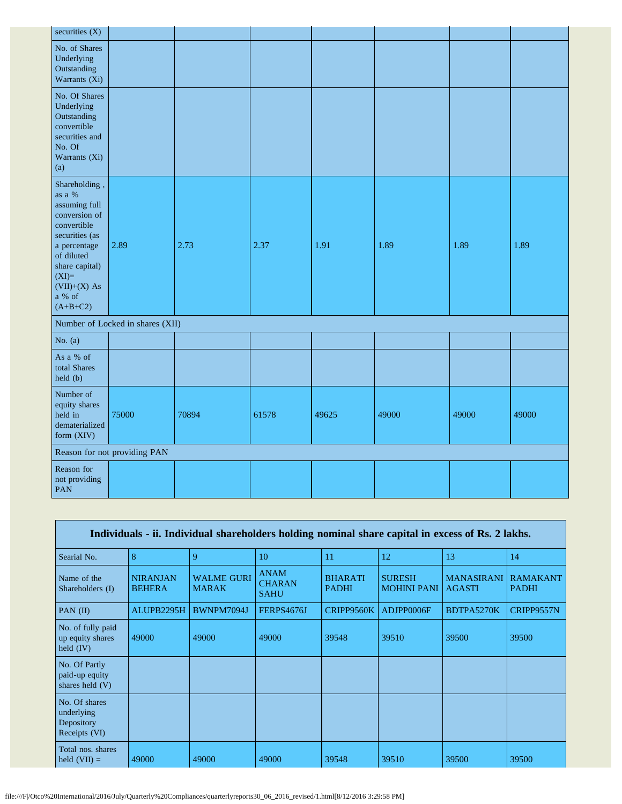| securities $(X)$                                                                                                                                                                                   |                                  |       |       |       |       |       |       |
|----------------------------------------------------------------------------------------------------------------------------------------------------------------------------------------------------|----------------------------------|-------|-------|-------|-------|-------|-------|
| No. of Shares<br>Underlying<br>Outstanding<br>Warrants (Xi)                                                                                                                                        |                                  |       |       |       |       |       |       |
| No. Of Shares<br>Underlying<br>Outstanding<br>convertible<br>securities and<br>No. Of<br>Warrants (Xi)<br>(a)                                                                                      |                                  |       |       |       |       |       |       |
| Shareholding,<br>as a $\%$<br>assuming full<br>conversion of<br>convertible<br>securities (as<br>a percentage<br>of diluted<br>share capital)<br>$(XI)=$<br>$(VII)+(X)$ As<br>a % of<br>$(A+B+C2)$ | 2.89                             | 2.73  | 2.37  | 1.91  | 1.89  | 1.89  | 1.89  |
|                                                                                                                                                                                                    | Number of Locked in shares (XII) |       |       |       |       |       |       |
| No. $(a)$                                                                                                                                                                                          |                                  |       |       |       |       |       |       |
| As a % of<br>total Shares<br>held (b)                                                                                                                                                              |                                  |       |       |       |       |       |       |
| Number of<br>equity shares<br>held in<br>dematerialized<br>form (XIV)                                                                                                                              | 75000                            | 70894 | 61578 | 49625 | 49000 | 49000 | 49000 |
|                                                                                                                                                                                                    | Reason for not providing PAN     |       |       |       |       |       |       |
| Reason for<br>not providing<br><b>PAN</b>                                                                                                                                                          |                                  |       |       |       |       |       |       |

| Individuals - ii. Individual shareholders holding nominal share capital in excess of Rs. 2 lakhs. |                                  |                                   |                                             |                                |                                     |                                    |                                 |
|---------------------------------------------------------------------------------------------------|----------------------------------|-----------------------------------|---------------------------------------------|--------------------------------|-------------------------------------|------------------------------------|---------------------------------|
| Searial No.                                                                                       | 8                                | 9                                 | 10                                          | 11                             | 12                                  | 13                                 | 14                              |
| Name of the<br>Shareholders (I)                                                                   | <b>NIRANJAN</b><br><b>BEHERA</b> | <b>WALME GURI</b><br><b>MARAK</b> | <b>ANAM</b><br><b>CHARAN</b><br><b>SAHU</b> | <b>BHARATI</b><br><b>PADHI</b> | <b>SURESH</b><br><b>MOHINI PANI</b> | <b>MANASIRANI</b><br><b>AGASTI</b> | <b>RAMAKANT</b><br><b>PADHI</b> |
| PAN $(II)$                                                                                        | ALUPB2295H                       | BWNPM7094J                        | FERPS4676J                                  | CRIPP9560K                     | ADJPP0006F                          | BDTPA5270K                         | CRIPP9557N                      |
| No. of fully paid<br>up equity shares<br>held $(IV)$                                              | 49000                            | 49000                             | 49000                                       | 39548                          | 39510                               | 39500                              | 39500                           |
| No. Of Partly<br>paid-up equity<br>shares held $(V)$                                              |                                  |                                   |                                             |                                |                                     |                                    |                                 |
| No. Of shares<br>underlying<br>Depository<br>Receipts (VI)                                        |                                  |                                   |                                             |                                |                                     |                                    |                                 |
| Total nos. shares<br>held $(VII) =$                                                               | 49000                            | 49000                             | 49000                                       | 39548                          | 39510                               | 39500                              | 39500                           |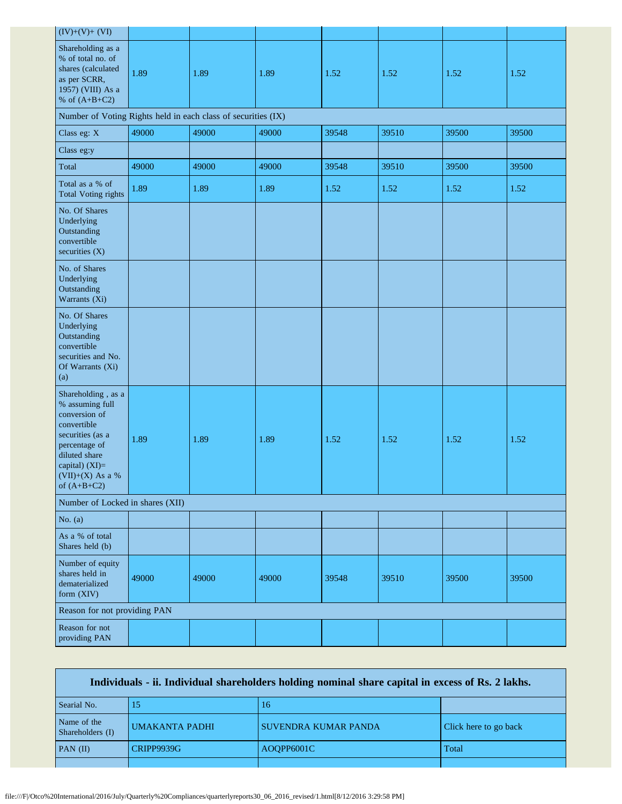| $(IV)+(V)+(VI)$                                                                                                                                                                    |       |       |       |       |       |       |       |
|------------------------------------------------------------------------------------------------------------------------------------------------------------------------------------|-------|-------|-------|-------|-------|-------|-------|
| Shareholding as a<br>% of total no. of<br>shares (calculated<br>as per SCRR,<br>1957) (VIII) As a<br>% of $(A+B+C2)$                                                               | 1.89  | 1.89  | 1.89  | 1.52  | 1.52  | 1.52  | 1.52  |
| Number of Voting Rights held in each class of securities (IX)                                                                                                                      |       |       |       |       |       |       |       |
| Class eg: X                                                                                                                                                                        | 49000 | 49000 | 49000 | 39548 | 39510 | 39500 | 39500 |
| Class eg:y                                                                                                                                                                         |       |       |       |       |       |       |       |
| Total                                                                                                                                                                              | 49000 | 49000 | 49000 | 39548 | 39510 | 39500 | 39500 |
| Total as a % of<br><b>Total Voting rights</b>                                                                                                                                      | 1.89  | 1.89  | 1.89  | 1.52  | 1.52  | 1.52  | 1.52  |
| No. Of Shares<br>Underlying<br>Outstanding<br>convertible<br>securities (X)                                                                                                        |       |       |       |       |       |       |       |
| No. of Shares<br>Underlying<br>Outstanding<br>Warrants (Xi)                                                                                                                        |       |       |       |       |       |       |       |
| No. Of Shares<br>Underlying<br>Outstanding<br>convertible<br>securities and No.<br>Of Warrants (Xi)<br>(a)                                                                         |       |       |       |       |       |       |       |
| Shareholding, as a<br>% assuming full<br>conversion of<br>convertible<br>securities (as a<br>percentage of<br>diluted share<br>capital) (XI)=<br>(VII)+(X) As a %<br>of $(A+B+C2)$ | 1.89  | 1.89  | 1.89  | 1.52  | 1.52  | 1.52  | 1.52  |
| Number of Locked in shares (XII)                                                                                                                                                   |       |       |       |       |       |       |       |
| No. $(a)$                                                                                                                                                                          |       |       |       |       |       |       |       |
| As a % of total<br>Shares held (b)                                                                                                                                                 |       |       |       |       |       |       |       |
| Number of equity<br>shares held in<br>dematerialized<br>form (XIV)                                                                                                                 | 49000 | 49000 | 49000 | 39548 | 39510 | 39500 | 39500 |
| Reason for not providing PAN                                                                                                                                                       |       |       |       |       |       |       |       |
| Reason for not<br>providing PAN                                                                                                                                                    |       |       |       |       |       |       |       |

| Individuals - ii. Individual shareholders holding nominal share capital in excess of Rs. 2 lakhs. |                       |                             |                       |  |  |
|---------------------------------------------------------------------------------------------------|-----------------------|-----------------------------|-----------------------|--|--|
| Searial No.                                                                                       | 15                    | 16                          |                       |  |  |
| Name of the<br>Shareholders (I)                                                                   | <b>UMAKANTA PADHI</b> | <b>SUVENDRA KUMAR PANDA</b> | Click here to go back |  |  |
| $PAN$ (II)                                                                                        | <b>CRIPP9939G</b>     | AOOPP6001C                  | Total                 |  |  |
|                                                                                                   |                       |                             |                       |  |  |

Г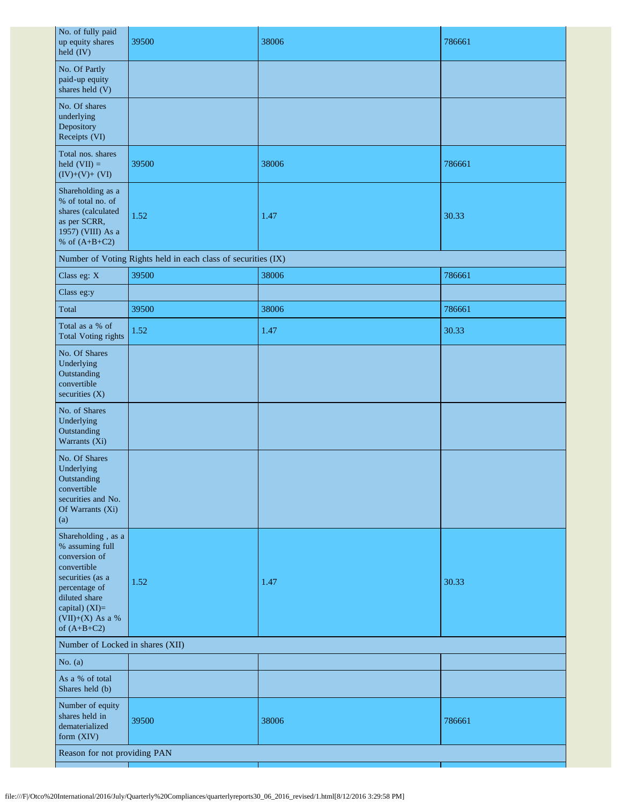| No. of fully paid<br>up equity shares<br>$held$ $(IV)$                                                                                                                             | 39500                                                         | 38006 | 786661 |  |
|------------------------------------------------------------------------------------------------------------------------------------------------------------------------------------|---------------------------------------------------------------|-------|--------|--|
| No. Of Partly<br>paid-up equity<br>shares held (V)                                                                                                                                 |                                                               |       |        |  |
| No. Of shares<br>underlying<br>Depository<br>Receipts (VI)                                                                                                                         |                                                               |       |        |  |
| Total nos. shares<br>held $(VII) =$<br>$(IV)+(V)+(VI)$                                                                                                                             | 39500                                                         | 38006 | 786661 |  |
| Shareholding as a<br>% of total no. of<br>shares (calculated<br>as per SCRR,<br>1957) (VIII) As a<br>% of $(A+B+C2)$                                                               | 1.52                                                          | 1.47  | 30.33  |  |
|                                                                                                                                                                                    | Number of Voting Rights held in each class of securities (IX) |       |        |  |
| Class eg: X                                                                                                                                                                        | 39500                                                         | 38006 | 786661 |  |
| Class eg:y                                                                                                                                                                         |                                                               |       |        |  |
| Total                                                                                                                                                                              | 39500                                                         | 38006 | 786661 |  |
| Total as a % of<br><b>Total Voting rights</b>                                                                                                                                      | 1.52                                                          | 1.47  | 30.33  |  |
| No. Of Shares<br>Underlying<br>Outstanding<br>convertible<br>securities $(X)$                                                                                                      |                                                               |       |        |  |
| No. of Shares<br>Underlying<br>Outstanding<br>Warrants (Xi)                                                                                                                        |                                                               |       |        |  |
| No. Of Shares<br>Underlying<br>Outstanding<br>convertible<br>securities and No.<br>Of Warrants (Xi)<br>(a)                                                                         |                                                               |       |        |  |
| Shareholding, as a<br>% assuming full<br>conversion of<br>convertible<br>securities (as a<br>percentage of<br>diluted share<br>capital) (XI)=<br>(VII)+(X) As a %<br>of $(A+B+C2)$ | 1.52                                                          | 1.47  | 30.33  |  |
| Number of Locked in shares (XII)                                                                                                                                                   |                                                               |       |        |  |
| No. $(a)$                                                                                                                                                                          |                                                               |       |        |  |
| As a % of total<br>Shares held (b)                                                                                                                                                 |                                                               |       |        |  |
| Number of equity<br>shares held in<br>dematerialized<br>form (XIV)                                                                                                                 | 39500                                                         | 38006 | 786661 |  |
| Reason for not providing PAN                                                                                                                                                       |                                                               |       |        |  |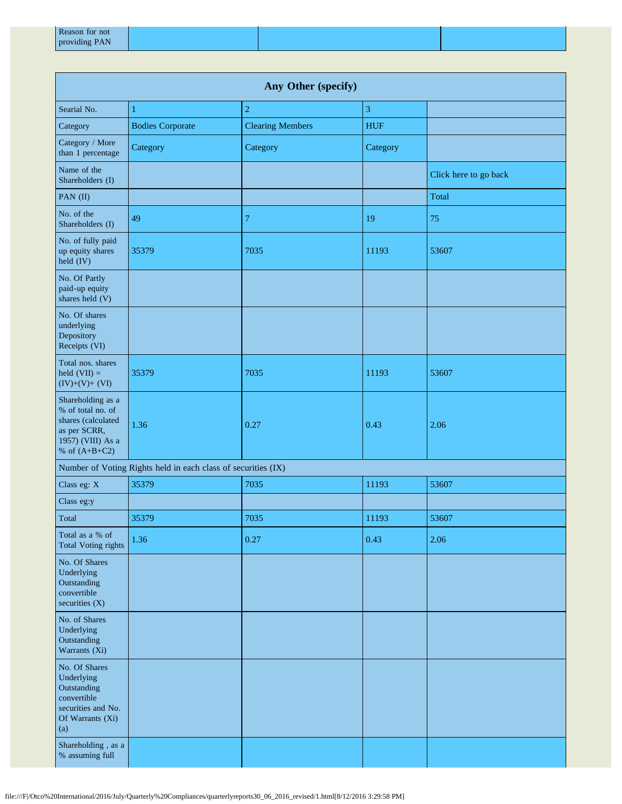| Any Other (specify)                                                                                                  |                                                               |                         |            |                       |  |
|----------------------------------------------------------------------------------------------------------------------|---------------------------------------------------------------|-------------------------|------------|-----------------------|--|
| Searial No.                                                                                                          | 1                                                             | $\overline{c}$          | 3          |                       |  |
| Category                                                                                                             | <b>Bodies Corporate</b>                                       | <b>Clearing Members</b> | <b>HUF</b> |                       |  |
| Category / More<br>than 1 percentage                                                                                 | Category                                                      | Category                | Category   |                       |  |
| Name of the<br>Shareholders (I)                                                                                      |                                                               |                         |            | Click here to go back |  |
| PAN (II)                                                                                                             |                                                               |                         |            | Total                 |  |
| No. of the<br>Shareholders (I)                                                                                       | 49                                                            | $\tau$                  | 19         | 75                    |  |
| No. of fully paid<br>up equity shares<br>held (IV)                                                                   | 35379                                                         | 7035                    | 11193      | 53607                 |  |
| No. Of Partly<br>paid-up equity<br>shares held (V)                                                                   |                                                               |                         |            |                       |  |
| No. Of shares<br>underlying<br>Depository<br>Receipts (VI)                                                           |                                                               |                         |            |                       |  |
| Total nos. shares<br>held $(VII) =$<br>$(IV)+(V)+(VI)$                                                               | 35379                                                         | 7035                    | 11193      | 53607                 |  |
| Shareholding as a<br>% of total no. of<br>shares (calculated<br>as per SCRR,<br>1957) (VIII) As a<br>% of $(A+B+C2)$ | 1.36                                                          | 0.27                    | 0.43       | 2.06                  |  |
|                                                                                                                      | Number of Voting Rights held in each class of securities (IX) |                         |            |                       |  |
| Class eg: X                                                                                                          | 35379                                                         | 7035                    | 11193      | 53607                 |  |
| Class eg:y                                                                                                           |                                                               |                         |            |                       |  |
| Total                                                                                                                | 35379                                                         | 7035                    | 11193      | 53607                 |  |
| Total as a % of<br><b>Total Voting rights</b>                                                                        | 1.36                                                          | 0.27                    | 0.43       | 2.06                  |  |
| No. Of Shares<br>Underlying<br>Outstanding<br>convertible<br>securities $(X)$                                        |                                                               |                         |            |                       |  |
| No. of Shares<br>Underlying<br>Outstanding<br>Warrants (Xi)                                                          |                                                               |                         |            |                       |  |
| No. Of Shares<br>Underlying<br>Outstanding<br>convertible<br>securities and No.<br>Of Warrants (Xi)<br>(a)           |                                                               |                         |            |                       |  |
| Shareholding, as a<br>% assuming full                                                                                |                                                               |                         |            |                       |  |